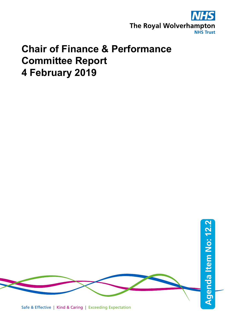

# **Chair of Finance & Performance Committee Report 4 February 2019**

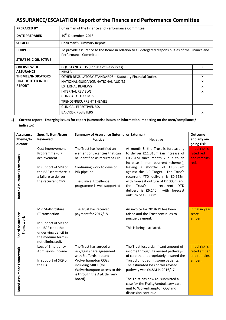# **ASSURANCE/ESCALATION Report of the Finance and Performance Committee**

| <b>PREPARED BY</b>         | Chairman of the Finance and Performance Committee                                                                           |   |  |  |
|----------------------------|-----------------------------------------------------------------------------------------------------------------------------|---|--|--|
| <b>DATE PREPARED</b>       | 19 <sup>th</sup> December 2018                                                                                              |   |  |  |
| <b>SUBJECT</b>             | Chairman's Summary Report                                                                                                   |   |  |  |
| <b>PURPOSE</b>             | To provide assurance to the Board in relation to all delegated responsibilities of the Finance and<br>Performance Committee |   |  |  |
| <b>STRATEGIC OBJECTIVE</b> |                                                                                                                             |   |  |  |
| <b>OVERVIEW OF</b>         | CQC STANDARDS (For Use of Resources)                                                                                        | X |  |  |
| <b>ASSURANCE</b>           | <b>NHSLA</b>                                                                                                                |   |  |  |
| <b>THEMES/INDICATORS</b>   | X<br><b>OTHER REGULATORY STANDARDS - Statutory Financial Duties</b>                                                         |   |  |  |
| <b>HIGHLIGHTED IN THE</b>  | NATIONAL GUIDANCE/NATIONAL AUDITS<br>X                                                                                      |   |  |  |
| <b>REPORT</b>              | <b>EXTERNAL REVIEWS</b>                                                                                                     |   |  |  |
| <b>INTERNAL REVIEWS</b>    |                                                                                                                             | X |  |  |
| <b>CLINICAL OUTCOMES</b>   |                                                                                                                             |   |  |  |
|                            | TRENDS/RECURRENT THEMES                                                                                                     |   |  |  |
|                            | <b>CLINICAL EFFECTIVENESS</b>                                                                                               |   |  |  |
| <b>BAF/RISK REGISTERS</b>  |                                                                                                                             |   |  |  |

## **1) Current report - Emerging issues for report (summarise issues or information impacting on the area/compliance/ indicator)**

| <b>Assurance</b>                    | Specific Item/issue<br><b>Summary of Assurance (internal or External)</b>                                                                            |                                                                                                                                                                                                             | <b>Outcome</b>                                                                                                                                                                                                                                                                                                                                                                                                            |                                                            |
|-------------------------------------|------------------------------------------------------------------------------------------------------------------------------------------------------|-------------------------------------------------------------------------------------------------------------------------------------------------------------------------------------------------------------|---------------------------------------------------------------------------------------------------------------------------------------------------------------------------------------------------------------------------------------------------------------------------------------------------------------------------------------------------------------------------------------------------------------------------|------------------------------------------------------------|
| Theme/In                            | <b>Reviewed</b>                                                                                                                                      | Positive                                                                                                                                                                                                    | Negative                                                                                                                                                                                                                                                                                                                                                                                                                  | and any on-                                                |
| dicator                             |                                                                                                                                                      |                                                                                                                                                                                                             |                                                                                                                                                                                                                                                                                                                                                                                                                           | going risk                                                 |
| <b>Board Assurance Framework</b>    | Cost Improvement<br>Programme (CIP)<br>achievement.<br>In support of SR8 on<br>the BAF (that there is<br>a failure to deliver<br>the recurrent CIP). | The Trust has identified an<br>element of vacancies that can<br>be identified as recurrent CIP<br>Continuing work to develop<br>PID pipeline<br>The Clinical Excellence<br>programme is well supported      | At month 8, the Trust is forecasting<br>to deliver £11.013m (an increase of<br>£0.781M since month 7 due to an<br>increase in non-recurrent schemes),<br>leaving a shortfall of £13.987m<br>against the CIP Target. The Trust's<br>recurrent YTD delivery is £0.922m<br>with forecast outturn of £2.005m and<br>Trust's<br>the<br>non-recurrent<br><b>YTD</b><br>delivery is £6.140m with forecast<br>outturn of £9.008m. | <b>Initial risk is</b><br>rated red<br>and remains<br>red. |
| <b>Board Assurance</b><br>Framework | Mid Staffordshire<br>FT transaction.<br>In support of SR9 on<br>the BAF (that the<br>underlying deficit in<br>the medium term is<br>not eliminated). | The Trust has received<br>payment for 2017/18                                                                                                                                                               | An invoice for 2018/19 has been<br>raised and the Trust continues to<br>pursue payment.<br>This is being escalated.                                                                                                                                                                                                                                                                                                       | Initial in year<br>score<br>amber.                         |
| Board Assurance Framework           | Loss of Emergency<br>Admissions Income.<br>In support of SR9 on<br>the BAF                                                                           | The Trust has agreed a<br>risk/gain share agreement<br>with Staffordshire and<br><b>Wolverhampton CCGs</b><br>including MRET (for<br>Wolverhampton access to this<br>is through the A&E delivery<br>board). | The Trust lost a significant amount of<br>income through its revised pathways<br>of care that appropriately ensured the<br>Trust did not admit some patients.<br>The estimated loss of this revised<br>pathway was £4.8M in 2016/17.<br>The Trust has now re- submitted a<br>case for the Frailty/ambulatory care<br>unit to Wolverhampton CCG and<br>discussion continue                                                 | Initial risk is<br>rated amber<br>and remains<br>amber.    |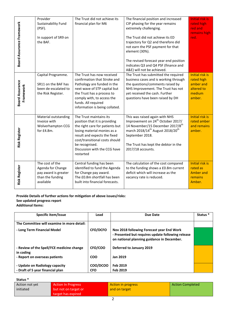| Board Assurance Framework           | Provider<br>Sustainability Fund<br>(PSF).<br>In support of SR9 on<br>the BAF.                 | The Trust did not achieve its<br>financial plan for M6                                                                                                                                                                                                      | The financial position and increased<br>CIP phasing for the year remains<br>extremely challenging.<br>The Trust did not achieve its ED<br>trajectory for Q2 and therefore did<br>not earn the PSF payment for that<br>element (30%).<br>The revised forecast year end position<br>indicates Q3 and Q4 PSF (finance and<br>A&E) will not be achieved. | <b>Initial risk is</b><br>rated high<br>red and<br>remains high<br>red.             |
|-------------------------------------|-----------------------------------------------------------------------------------------------|-------------------------------------------------------------------------------------------------------------------------------------------------------------------------------------------------------------------------------------------------------------|------------------------------------------------------------------------------------------------------------------------------------------------------------------------------------------------------------------------------------------------------------------------------------------------------------------------------------------------------|-------------------------------------------------------------------------------------|
| <b>Board Assurance</b><br>Framework | Capital Programme.<br>SR11 on the BAF has<br>been de-escalated to<br>the Risk Register.       | The Trust has now received<br>confirmation that Stroke and<br>Pathology are funded in the<br>next wave of STP capital but<br>the Trust has a process to<br>comply with, to access the<br>funds. All required<br>information is being collated.              | The Trust has submitted the required<br>business cases and is working through<br>the questions/comments raised by<br>NHS Improvement. The Trust has not<br>yet received the cash. Further<br>questions have been raised by DH                                                                                                                        | <b>Initial risk is</b><br>rated high<br>amber and<br>altered to<br>medium<br>amber. |
| <b>Risk Register</b>                | Material outstanding<br>Invoice with<br>Wolverhampton CCG<br>for £4.8m.                       | The Trust maintains its<br>position that it is providing<br>the right care for patients but<br>losing material monies as a<br>result and expects the fixed<br>cost/transitional costs should<br>be recognised.<br>Discussion with the CCG have<br>restarted | This was raised again with NHS<br>Improvement on 24 <sup>th</sup> October 2017/<br>14 November/15 December 2017/8 <sup>th</sup><br>march 2018/14 <sup>th</sup> August 2018/20 <sup>th</sup><br>September 2018.<br>The Trust has kept the debtor in the<br>2017/18 accounts.                                                                          | <b>Initial risk is</b><br>rated amber<br>and remains<br>amber.                      |
| <b>Risk Register</b>                | The cost of the<br>Agenda for Change<br>pay award is greater<br>than the funding<br>available | Central funding has been<br>identified to fund the Agenda<br>for Change pay award.<br>The £0.8m shortfall has been<br>built into financial forecasts.                                                                                                       | The calculation of the cost compared<br>to the funding shows a £0.8m current<br>deficit which will increase as the<br>vacancy rate is reduced.                                                                                                                                                                                                       | <b>Initial risk is</b><br>rated as<br><b>Amber and</b><br>remains<br>Amber.         |

### **Provide Details of further actions for mitigation of above issues/risks: See updated progress report Additional Items:**

| Specific item/Issue                                    | Lead            | Due Date                                                                                                                                     | Status <sup>*</sup> |
|--------------------------------------------------------|-----------------|----------------------------------------------------------------------------------------------------------------------------------------------|---------------------|
| The Committee will examine in more detail:             |                 |                                                                                                                                              |                     |
| - Long Term Financial Model                            | <b>CFO/DCFO</b> | Nov 2018 following Forecast year End Work<br>- Presented but requires update following release<br>on national planning guidance in December. |                     |
| - Review of the Spell/FCE medicine change<br>in coding | CFO/COO         | <b>Deferred to January 2019</b>                                                                                                              |                     |
| - Report on overseas patients                          | <b>COO</b>      | <b>Jan 2019</b>                                                                                                                              |                     |
| - Update on Radiology capacity                         | COO/DCOO        | Feb 2019                                                                                                                                     |                     |
| - Draft of 5 year financial plan                       | <b>CFO</b>      | Feb 2019                                                                                                                                     |                     |

# **Status \***

| Action not yet | <b>Action In Progress</b> | Action in progress | <b>Action Completed</b> |
|----------------|---------------------------|--------------------|-------------------------|
| initiated      | but not on target or      | and on target      |                         |
|                | target has expired        |                    |                         |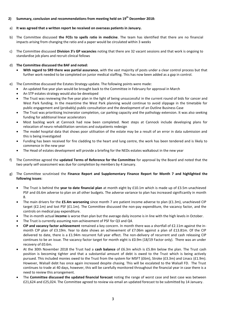- **2) Summary, conclusion and recommendations from meeting held on 19th December 2018:**
- a) **It was agreed that a written report be received on overseas patients in January.**
- b) The Committee discussed **the FCEs to spells ratio in medicine**. The team has identified that there are no financial impacts arising from changing the ratio and a paper would be circulated within 3 weeks
- c) The Committee discussed **Division 3's GP vacancies** noting that there are 32 vacant sessions and that work is ongoing to standardise job plans and recruit clinical fellows

#### d) **The Committee discussed the BAF and noted:**

- **With regard to SR9 there was partial assurance**, with the vast majority of posts under a clear control process but that further work needed to be completed on junior medical staffing. This has now been added as a gap in control.
- e) The Committee discussed the Estates Strategy update. The following points were made:
	- An updated five year plan would be brought back to the Committee in February for approval in March
	- An STP estates strategy would also be developed
	- The Trust was reviewing the five year plan in the light of being unsuccessful in the current round of bids for cancer and West Park funding. In the meantime the West Park planning would continue to avoid slippage in the timetable for public engagement and (probably) public consultation and the development of an Outline Business Case
	- The Trust was prioritising Incinerator completion, car parking capacity and the pathology extension. It was also seeking funding for additional linear accelerators
	- Most backlog work at Cannock had now been completed. Next steps at Cannock include developing plans for relocation of neuro rehabilitation services and outpatients redesign
	- The model hospital data that shows poor utilisation of the estate may be a result of an error in data submission and this is being investigated
	- Funding has been received for fire cladding to the heart and lung centre, the work has been tendered and is likely to commence in the new year
	- The Head of estates development will provide a briefing for the NEDs estates walkabout in the new year
- f) The Committee agreed the **updated Terms of Reference for the Committee** for approval by the Board and noted that the two yearly self-assessment was due for completion by members by 4 January.
- g) The Committee scrutinised the **Finance Report and Supplementary Finance Report for Month 7 and highlighted the following issues**:
	- The Trust is behind the **year to date financial plan** at month eight by £10.1m which is made up of £3.5m unachieved PSF and £6.6m adverse to plan on all other budgets. The adverse variance to plan has increased significantly in month 8.
	- The main drivers for the **£5.4m worsening** since month 7 are patient income adverse to plan (£1.3m), unachieved CIP target (£2.1m) and lost PSF (£1.1m). The Committee discussed the non-pay expenditure, the vacancy factor, and the controls on medical pay expenditure.
	- The in-month actual **income** is worse than plan but the average daily income is in line with the high levels in October.
	- The Trust is currently assuming non-achievement of PSF for Q3 and Q4.
	- **CIP and vacancy factor achievement** remained a key concern. In month there was a shortfall of £2.11m against the inmonth CIP plan of £3.19m. Year to date shows an achievement of £7.06m against a plan of £13.81m. Of the CIP delivered to date, there is a £1.94m recurrent full year effect. The non-delivery of recurrent and cash releasing CIP continues to be an issue. The vacancy factor target for month eight is £0.9m (18/19 Factor only). There was an under recovery of £0.6m.
	- At the 30th November 2018 the Trust had a **cash balance** of £6.3m which is £5.8m below the plan. The Trust cash position is becoming tighter and that a substantial amount of debt is owed to the Trust which is being actively pursued. This included monies owed to the Trust from the system for MSFT (£6m), Stroke (£3.3m) and Linacs (£1.9m). However, Walsall debt has once again increased despite chasing. This will be escalated to the Walsall FD. The Trust continues to trade at 40 days, however, this will be carefully monitored throughout the financial year in case there is a need to review this arrangement.
	- The **Committee discussed the updated financial forecast** noting the range of worst case and best case was between £21,624 and £25,024. The Committee agreed to review via email an updated forecast to be submitted by 14 January.